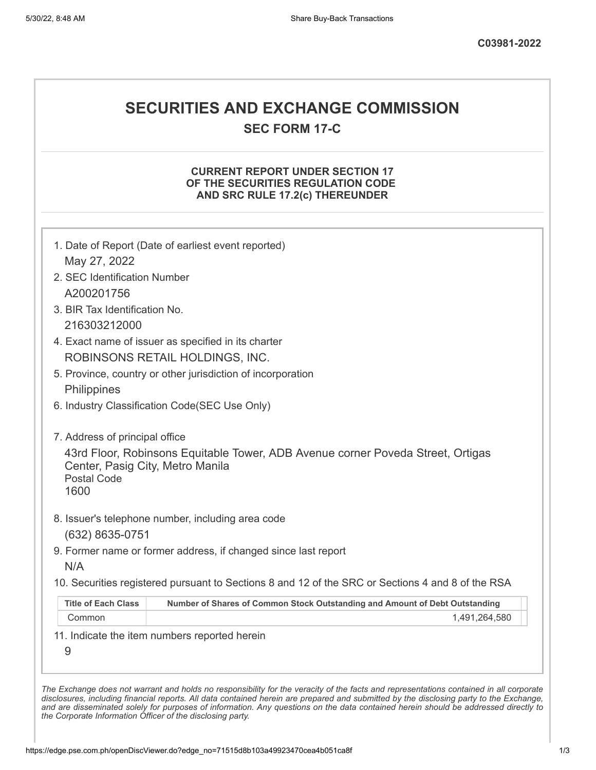# **SECURITIES AND EXCHANGE COMMISSION**

**SEC FORM 17-C**

### **CURRENT REPORT UNDER SECTION 17 OF THE SECURITIES REGULATION CODE AND SRC RULE 17.2(c) THEREUNDER**

| May 27, 2022                                                   |                                                                                                   |
|----------------------------------------------------------------|---------------------------------------------------------------------------------------------------|
| 2. SEC Identification Number                                   |                                                                                                   |
| A200201756                                                     |                                                                                                   |
| 3. BIR Tax Identification No.                                  |                                                                                                   |
| 216303212000                                                   |                                                                                                   |
|                                                                | 4. Exact name of issuer as specified in its charter                                               |
|                                                                | ROBINSONS RETAIL HOLDINGS, INC.                                                                   |
|                                                                | 5. Province, country or other jurisdiction of incorporation                                       |
| Philippines                                                    |                                                                                                   |
|                                                                | 6. Industry Classification Code(SEC Use Only)                                                     |
| 7. Address of principal office                                 |                                                                                                   |
| Center, Pasig City, Metro Manila<br><b>Postal Code</b><br>1600 | 43rd Floor, Robinsons Equitable Tower, ADB Avenue corner Poveda Street, Ortigas                   |
|                                                                | 8. Issuer's telephone number, including area code                                                 |
|                                                                |                                                                                                   |
| (632) 8635-0751                                                |                                                                                                   |
|                                                                | 9. Former name or former address, if changed since last report                                    |
| N/A                                                            | 10. Securities registered pursuant to Sections 8 and 12 of the SRC or Sections 4 and 8 of the RSA |
| <b>Title of Each Class</b>                                     | Number of Shares of Common Stock Outstanding and Amount of Debt Outstanding                       |
| Common                                                         | 1,491,264,580                                                                                     |

*the Corporate Information Officer of the disclosing party.*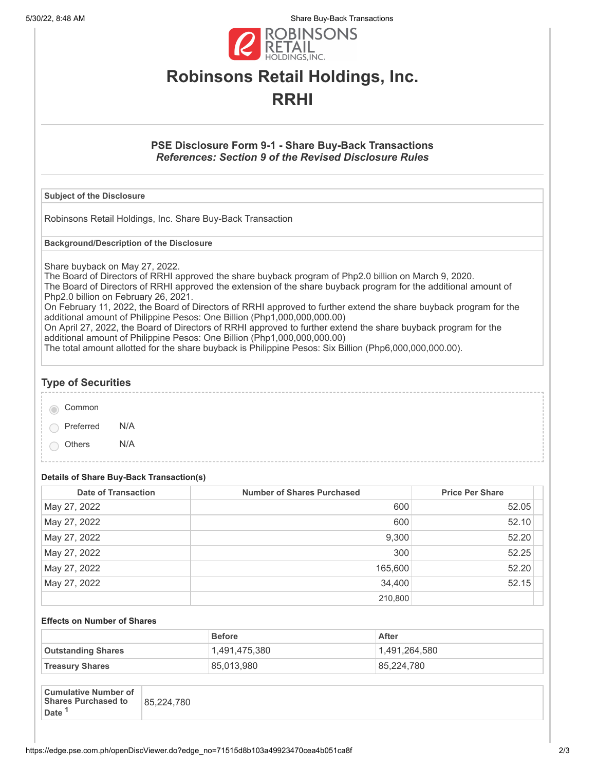5/30/22, 8:48 AM Share Buy-Back Transactions



# **Robinsons Retail Holdings, Inc. RRHI**

### **PSE Disclosure Form 9-1 - Share Buy-Back Transactions** *References: Section 9 of the Revised Disclosure Rules*

#### **Subject of the Disclosure**

Robinsons Retail Holdings, Inc. Share Buy-Back Transaction

**Background/Description of the Disclosure**

Share buyback on May 27, 2022.

The Board of Directors of RRHI approved the share buyback program of Php2.0 billion on March 9, 2020. The Board of Directors of RRHI approved the extension of the share buyback program for the additional amount of Php2.0 billion on February 26, 2021.

On February 11, 2022, the Board of Directors of RRHI approved to further extend the share buyback program for the additional amount of Philippine Pesos: One Billion (Php1,000,000,000.00)

On April 27, 2022, the Board of Directors of RRHI approved to further extend the share buyback program for the additional amount of Philippine Pesos: One Billion (Php1,000,000,000.00)

The total amount allotted for the share buyback is Philippine Pesos: Six Billion (Php6,000,000,000.00).

## **Type of Securities**

Common

Preferred N/A

Others N/A

## **Details of Share Buy-Back Transaction(s)**

| <b>Date of Transaction</b> | <b>Number of Shares Purchased</b> | <b>Price Per Share</b> |
|----------------------------|-----------------------------------|------------------------|
| May 27, 2022               | 600                               | 52.05                  |
| May 27, 2022               | 600                               | 52.10                  |
| May 27, 2022               | 9,300                             | 52.20                  |
| May 27, 2022               | 300                               | 52.25                  |
| May 27, 2022               | 165,600                           | 52.20                  |
| May 27, 2022               | 34,400                            | 52.15                  |
|                            | 210,800                           |                        |

#### **Effects on Number of Shares**

|                           | <b>Before</b> | <b>After</b>  |
|---------------------------|---------------|---------------|
| <b>Outstanding Shares</b> | 1,491,475,380 | 1,491,264,580 |
| <b>Treasury Shares</b>    | 85,013,980    | 85,224,780    |